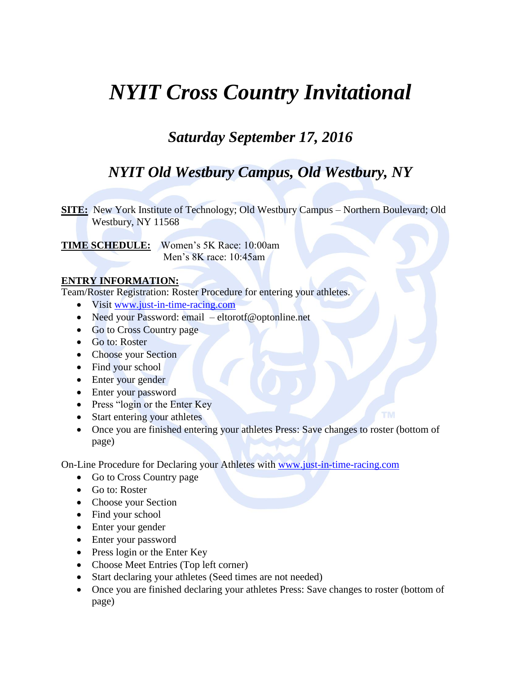## *NYIT Cross Country Invitational*

## *Saturday September 17, 2016*

### *NYIT Old Westbury Campus, Old Westbury, NY*

**SITE:** New York Institute of Technology; Old Westbury Campus – Northern Boulevard; Old Westbury, NY 11568

**TIME SCHEDULE:** Women's 5K Race: 10:00am Men's 8K race: 10:45am

### **ENTRY INFORMATION:**

Team/Roster Registration: Roster Procedure for entering your athletes.

- Visit [www.just-in-time-racing.com](http://www.just-in-time-racing.com/)
- Need your Password: email eltorotf@optonline.net
- Go to Cross Country page
- Go to: Roster
- Choose your Section
- Find your school
- Enter your gender
- Enter your password
- Press "login or the Enter Key
- Start entering your athletes
- Once you are finished entering your athletes Press: Save changes to roster (bottom of page)

On-Line Procedure for Declaring your Athletes with [www.just-in-time-racing.com](http://www.just-in-time-racing.com/)

- Go to Cross Country page
- Go to: Roster
- Choose your Section
- Find your school
- Enter your gender
- Enter your password
- Press login or the Enter Key
- Choose Meet Entries (Top left corner)
- Start declaring your athletes (Seed times are not needed)
- Once you are finished declaring your athletes Press: Save changes to roster (bottom of page)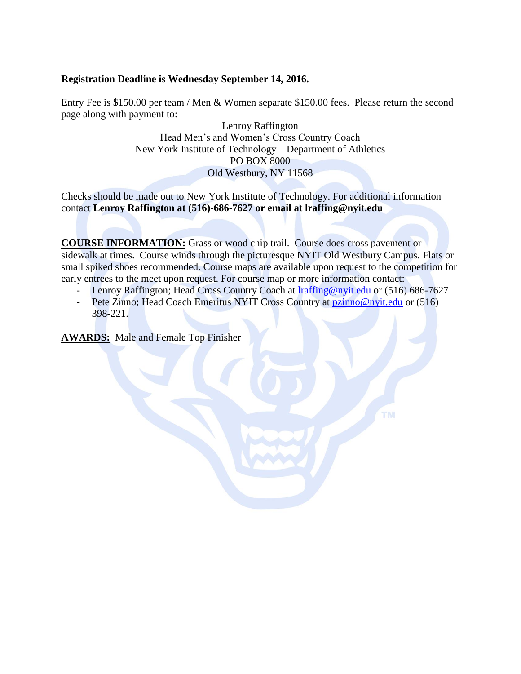#### **Registration Deadline is Wednesday September 14, 2016.**

Entry Fee is \$150.00 per team / Men & Women separate \$150.00 fees. Please return the second page along with payment to:

> Lenroy Raffington Head Men's and Women's Cross Country Coach New York Institute of Technology – Department of Athletics PO BOX 8000 Old Westbury, NY 11568

Checks should be made out to New York Institute of Technology. For additional information contact **Lenroy Raffington at (516)-686-7627 or email at lraffing@nyit.edu** 

**COURSE INFORMATION:** Grass or wood chip trail. Course does cross pavement or sidewalk at times. Course winds through the picturesque NYIT Old Westbury Campus. Flats or small spiked shoes recommended. Course maps are available upon request to the competition for early entrees to the meet upon request. For course map or more information contact:

- Lenroy Raffington; Head Cross Country Coach at **Iraffing@nyit.edu** or (516) 686-7627
- Pete Zinno; Head Coach Emeritus NYIT Cross Country at [pzinno@nyit.edu](mailto:pzinno@nyit.edu) or (516) 398-221.

**AWARDS:** Male and Female Top Finisher